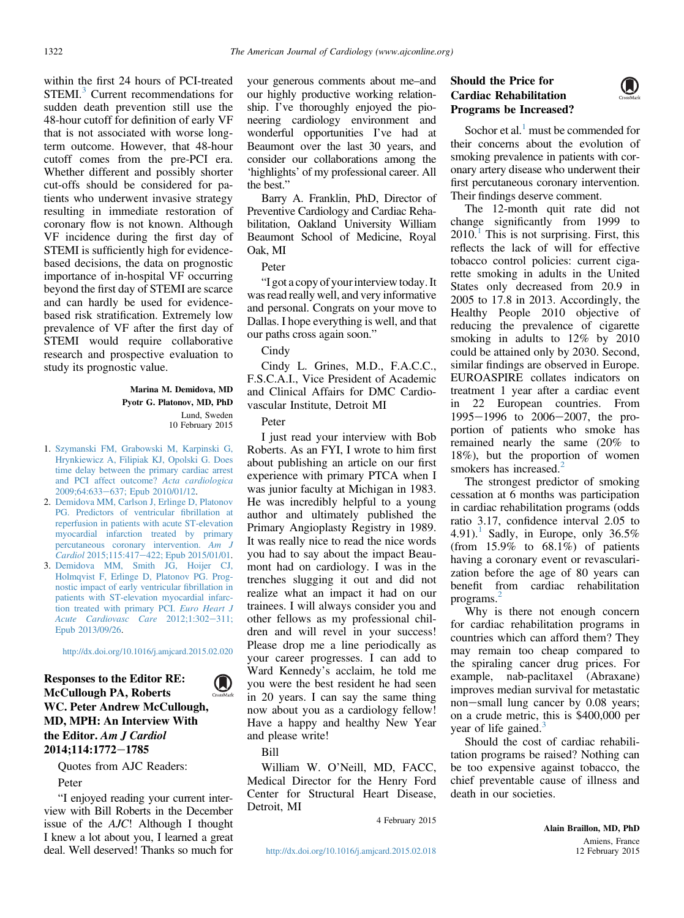within the first 24 hours of PCI-treated STEMI.<sup>3</sup> Current recommendations for sudden death prevention still use the 48-hour cutoff for definition of early VF that is not associated with worse longterm outcome. However, that 48-hour cutoff comes from the pre-PCI era. Whether different and possibly shorter cut-offs should be considered for patients who underwent invasive strategy resulting in immediate restoration of coronary flow is not known. Although VF incidence during the first day of STEMI is sufficiently high for evidencebased decisions, the data on prognostic importance of in-hospital VF occurring beyond the first day of STEMI are scarce and can hardly be used for evidencebased risk stratification. Extremely low prevalence of VF after the first day of STEMI would require collaborative research and prospective evaluation to study its prognostic value.

> Marina M. Demidova, MD Pyotr G. Platonov, MD, PhD Lund, Sweden 10 February 2015

- 1. [Szymanski FM, Grabowski M, Karpinski G,](http://refhub.elsevier.com/S0002-9149(15)00832-2/sref1) [Hrynkiewicz A, Filipiak KJ, Opolski G. Does](http://refhub.elsevier.com/S0002-9149(15)00832-2/sref1) [time delay between the primary cardiac arrest](http://refhub.elsevier.com/S0002-9149(15)00832-2/sref1) [and PCI affect outcome?](http://refhub.elsevier.com/S0002-9149(15)00832-2/sref1) Acta cardiologica [2009;64:633](http://refhub.elsevier.com/S0002-9149(15)00832-2/sref1)-[637; Epub 2010/01/12.](http://refhub.elsevier.com/S0002-9149(15)00832-2/sref1)
- 2. [Demidova MM, Carlson J, Erlinge D, Platonov](http://refhub.elsevier.com/S0002-9149(15)00833-4/sref2) [PG. Predictors of ventricular](http://refhub.elsevier.com/S0002-9149(15)00833-4/sref2) fibrillation at [reperfusion in patients with acute ST-elevation](http://refhub.elsevier.com/S0002-9149(15)00833-4/sref2) [myocardial infarction treated by primary](http://refhub.elsevier.com/S0002-9149(15)00833-4/sref2) [percutaneous coronary intervention.](http://refhub.elsevier.com/S0002-9149(15)00833-4/sref2) Am J Cardiol [2015;115:417](http://refhub.elsevier.com/S0002-9149(15)00833-4/sref2)-[422; Epub 2015/01/01](http://refhub.elsevier.com/S0002-9149(15)00833-4/sref2).
- 3. [Demidova MM, Smith JG, Hoijer CJ,](http://refhub.elsevier.com/S0002-9149(15)00833-4/sref3) [Holmqvist F, Erlinge D, Platonov PG. Prog](http://refhub.elsevier.com/S0002-9149(15)00833-4/sref3)[nostic impact of early ventricular](http://refhub.elsevier.com/S0002-9149(15)00833-4/sref3) fibrillation in [patients with ST-elevation myocardial infarc](http://refhub.elsevier.com/S0002-9149(15)00833-4/sref3)[tion treated with primary PCI.](http://refhub.elsevier.com/S0002-9149(15)00833-4/sref3) Euro Heart J [Acute Cardiovasc Care](http://refhub.elsevier.com/S0002-9149(15)00833-4/sref3)  $2012;1:302-311;$  $2012;1:302-311;$ [Epub 2013/09/26](http://refhub.elsevier.com/S0002-9149(15)00833-4/sref3).

<http://dx.doi.org/10.1016/j.amjcard.2015.02.020>

## Responses to the Editor RE:  $\mathbf{O}$ McCullough PA, Roberts WC. Peter Andrew McCullough, MD, MPH: An Interview With the Editor. Am J Cardiol 2014:114:1772-1785

Quotes from AJC Readers: Peter

"I enjoyed reading your current interview with Bill Roberts in the December issue of the AJC! Although I thought I knew a lot about you, I learned a great deal. Well deserved! Thanks so much for your generous comments about me–and our highly productive working relationship. I've thoroughly enjoyed the pioneering cardiology environment and wonderful opportunities I've had at Beaumont over the last 30 years, and consider our collaborations among the 'highlights' of my professional career. All the best."

Barry A. Franklin, PhD, Director of Preventive Cardiology and Cardiac Rehabilitation, Oakland University William Beaumont School of Medicine, Royal Oak, MI

## Peter

"I got a copy of your interview today. It was read really well, and very informative and personal. Congrats on your move to Dallas. I hope everything is well, and that our paths cross again soon."

Cindy

Cindy L. Grines, M.D., F.A.C.C., F.S.C.A.I., Vice President of Academic and Clinical Affairs for DMC Cardiovascular Institute, Detroit MI

## Peter

I just read your interview with Bob Roberts. As an FYI, I wrote to him first about publishing an article on our first experience with primary PTCA when I was junior faculty at Michigan in 1983. He was incredibly helpful to a young author and ultimately published the Primary Angioplasty Registry in 1989. It was really nice to read the nice words you had to say about the impact Beaumont had on cardiology. I was in the trenches slugging it out and did not realize what an impact it had on our trainees. I will always consider you and other fellows as my professional children and will revel in your success! Please drop me a line periodically as your career progresses. I can add to Ward Kennedy's acclaim, he told me you were the best resident he had seen in 20 years. I can say the same thing now about you as a cardiology fellow! Have a happy and healthy New Year and please write!

Bill

William W. O'Neill, MD, FACC, Medical Director for the Henry Ford Center for Structural Heart Disease, Detroit, MI

4 February 2015

## Should the Price for Cardiac Rehabilitation Programs be Increased?

Sochor et al. $<sup>1</sup>$  $<sup>1</sup>$  $<sup>1</sup>$  must be commended for</sup> their concerns about the evolution of smoking prevalence in patients with coronary artery disease who underwent their first percutaneous coronary intervention. Their findings deserve comment.

The 12-month quit rate did not change significantly from 1999 to  $2010<sup>1</sup>$  $2010<sup>1</sup>$  $2010<sup>1</sup>$  This is not surprising. First, this reflects the lack of will for effective tobacco control policies: current cigarette smoking in adults in the United States only decreased from 20.9 in 2005 to 17.8 in 2013. Accordingly, the Healthy People 2010 objective of reducing the prevalence of cigarette smoking in adults to 12% by 2010 could be attained only by 2030. Second, similar findings are observed in Europe. EUROASPIRE collates indicators on treatment 1 year after a cardiac event in 22 European countries. From  $1995-1996$  to  $2006-2007$ , the proportion of patients who smoke has remained nearly the same (20% to 18%), but the proportion of women smokers has increased.<sup>[2](#page-1-0)</sup>

The strongest predictor of smoking cessation at 6 months was participation in cardiac rehabilitation programs (odds ratio 3.17, confidence interval 2.05 to 4.9[1](#page-1-0)).<sup>1</sup> Sadly, in Europe, only  $36.5\%$ (from  $15.9\%$  to  $68.1\%$ ) of patients having a coronary event or revascularization before the age of 80 years can benefit from cardiac rehabilitation programs.[2](#page-1-0)

Why is there not enough concern for cardiac rehabilitation programs in countries which can afford them? They may remain too cheap compared to the spiraling cancer drug prices. For example, nab-paclitaxel (Abraxane) improves median survival for metastatic non-small lung cancer by 0.08 years; on a crude metric, this is \$400,000 per year of life gained.<sup>[3](#page-1-0)</sup>

Should the cost of cardiac rehabilitation programs be raised? Nothing can be too expensive against tobacco, the chief preventable cause of illness and death in our societies.